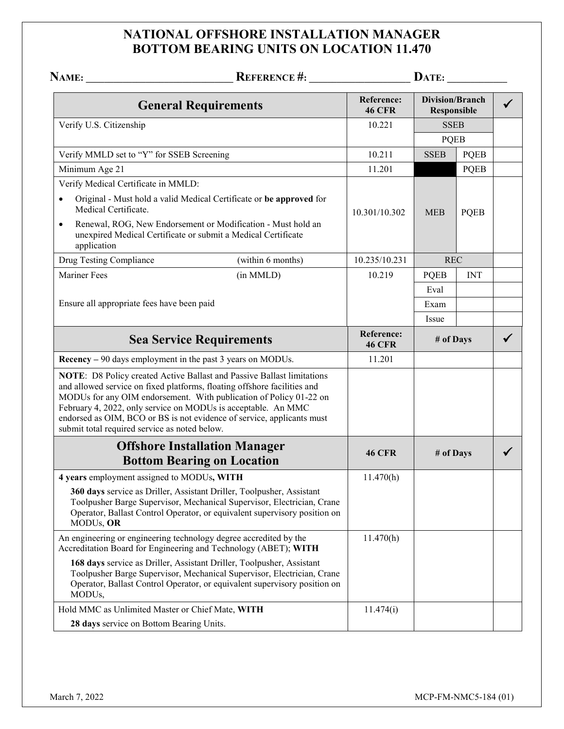## **NATIONAL OFFSHORE INSTALLATION MANAGER BOTTOM BEARING UNITS ON LOCATION 11.470**

| NAME:                                                                                                                                                                                      | <b>REFERENCE #:</b>                                                                                                                                                                                                          |                             | $\mathbf{DATE:}\_\$                   |             |   |
|--------------------------------------------------------------------------------------------------------------------------------------------------------------------------------------------|------------------------------------------------------------------------------------------------------------------------------------------------------------------------------------------------------------------------------|-----------------------------|---------------------------------------|-------------|---|
| Reference:<br><b>General Requirements</b><br><b>46 CFR</b>                                                                                                                                 |                                                                                                                                                                                                                              |                             | <b>Division/Branch</b><br>Responsible |             |   |
| Verify U.S. Citizenship                                                                                                                                                                    |                                                                                                                                                                                                                              | 10.221                      | <b>SSEB</b><br><b>PQEB</b>            |             |   |
|                                                                                                                                                                                            |                                                                                                                                                                                                                              |                             |                                       |             |   |
| Verify MMLD set to "Y" for SSEB Screening                                                                                                                                                  |                                                                                                                                                                                                                              | 10.211                      | <b>SSEB</b>                           | <b>PQEB</b> |   |
| Minimum Age 21                                                                                                                                                                             |                                                                                                                                                                                                                              | 11.201                      |                                       | <b>PQEB</b> |   |
| Verify Medical Certificate in MMLD:                                                                                                                                                        |                                                                                                                                                                                                                              |                             |                                       |             |   |
| Medical Certificate.                                                                                                                                                                       | Original - Must hold a valid Medical Certificate or be approved for                                                                                                                                                          | 10.301/10.302               | <b>MEB</b>                            | <b>PQEB</b> |   |
| $\bullet$<br>unexpired Medical Certificate or submit a Medical Certificate<br>application                                                                                                  | Renewal, ROG, New Endorsement or Modification - Must hold an                                                                                                                                                                 |                             |                                       |             |   |
| Drug Testing Compliance                                                                                                                                                                    | (within 6 months)                                                                                                                                                                                                            | 10.235/10.231               | <b>REC</b>                            |             |   |
| <b>Mariner Fees</b>                                                                                                                                                                        | (in MMLD)                                                                                                                                                                                                                    | 10.219                      | <b>PQEB</b>                           | <b>INT</b>  |   |
|                                                                                                                                                                                            |                                                                                                                                                                                                                              |                             | Eval                                  |             |   |
| Ensure all appropriate fees have been paid                                                                                                                                                 |                                                                                                                                                                                                                              |                             | Exam                                  |             |   |
|                                                                                                                                                                                            |                                                                                                                                                                                                                              |                             | Issue                                 |             |   |
| <b>Sea Service Requirements</b>                                                                                                                                                            |                                                                                                                                                                                                                              | Reference:<br><b>46 CFR</b> | # of Days                             |             |   |
| Recency – 90 days employment in the past 3 years on MODUs.                                                                                                                                 |                                                                                                                                                                                                                              | 11.201                      |                                       |             |   |
| and allowed service on fixed platforms, floating offshore facilities and<br>February 4, 2022, only service on MODUs is acceptable. An MMC<br>submit total required service as noted below. | NOTE: D8 Policy created Active Ballast and Passive Ballast limitations<br>MODUs for any OIM endorsement. With publication of Policy 01-22 on<br>endorsed as OIM, BCO or BS is not evidence of service, applicants must       |                             |                                       |             |   |
|                                                                                                                                                                                            | <b>Offshore Installation Manager</b><br><b>Bottom Bearing on Location</b>                                                                                                                                                    | <b>46 CFR</b>               | # of Days                             |             | ✔ |
| 4 years employment assigned to MODUs, WITH                                                                                                                                                 |                                                                                                                                                                                                                              | 11.470(h)                   |                                       |             |   |
| MODUs, OR                                                                                                                                                                                  | 360 days service as Driller, Assistant Driller, Toolpusher, Assistant<br>Toolpusher Barge Supervisor, Mechanical Supervisor, Electrician, Crane<br>Operator, Ballast Control Operator, or equivalent supervisory position on |                             |                                       |             |   |
| An engineering or engineering technology degree accredited by the<br>Accreditation Board for Engineering and Technology (ABET); WITH                                                       |                                                                                                                                                                                                                              | 11.470(h)                   |                                       |             |   |
| MODUs,                                                                                                                                                                                     | 168 days service as Driller, Assistant Driller, Toolpusher, Assistant<br>Toolpusher Barge Supervisor, Mechanical Supervisor, Electrician, Crane<br>Operator, Ballast Control Operator, or equivalent supervisory position on |                             |                                       |             |   |
| Hold MMC as Unlimited Master or Chief Mate, WITH                                                                                                                                           |                                                                                                                                                                                                                              | 11.474(i)                   |                                       |             |   |
| 28 days service on Bottom Bearing Units.                                                                                                                                                   |                                                                                                                                                                                                                              |                             |                                       |             |   |